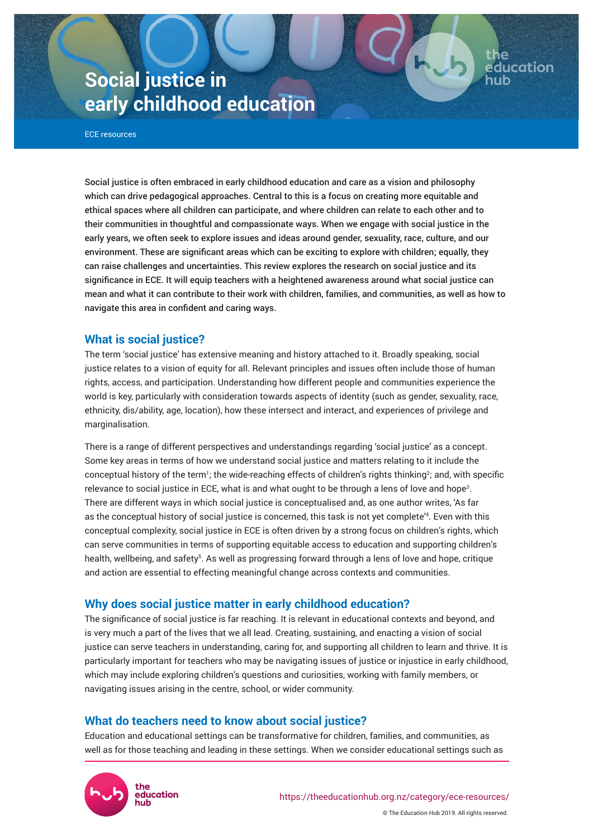# **Social justice in early childhood education**

ECE resources

Social justice is often embraced in early childhood education and care as a vision and philosophy which can drive pedagogical approaches. Central to this is a focus on creating more equitable and ethical spaces where all children can participate, and where children can relate to each other and to their communities in thoughtful and compassionate ways. When we engage with social justice in the early years, we often seek to explore issues and ideas around gender, sexuality, race, culture, and our environment. These are significant areas which can be exciting to explore with children; equally, they can raise challenges and uncertainties. This review explores the research on social justice and its significance in ECE. It will equip teachers with a heightened awareness around what social justice can mean and what it can contribute to their work with children, families, and communities, as well as how to navigate this area in confident and caring ways.

# **What is social justice?**

The term 'social justice' has extensive meaning and history attached to it. Broadly speaking, social justice relates to a vision of equity for all. Relevant principles and issues often include those of human rights, access, and participation. Understanding how different people and communities experience the world is key, particularly with consideration towards aspects of identity (such as gender, sexuality, race, ethnicity, dis/ability, age, location), how these intersect and interact, and experiences of privilege and marginalisation.

There is a range of different perspectives and understandings regarding 'social justice' as a concept. Some key areas in terms of how we understand social justice and matters relating to it include the conceptual history of the term<sup>1</sup>; the wide-reaching effects of children's rights thinking<sup>2</sup>; and, with specific relevance to social justice in ECE, what is and what ought to be through a lens of love and hope $^{\text{3}}$ . There are different ways in which social justice is conceptualised and, as one author writes, 'As far as the conceptual history of social justice is concerned, this task is not yet complete'<sup>4</sup> . Even with this conceptual complexity, social justice in ECE is often driven by a strong focus on children's rights, which can serve communities in terms of supporting equitable access to education and supporting children's health, wellbeing, and safety<sup>s</sup>. As well as progressing forward through a lens of love and hope, critique and action are essential to effecting meaningful change across contexts and communities.

# **Why does social justice matter in early childhood education?**

The significance of social justice is far reaching. It is relevant in educational contexts and beyond, and is very much a part of the lives that we all lead. Creating, sustaining, and enacting a vision of social justice can serve teachers in understanding, caring for, and supporting all children to learn and thrive. It is particularly important for teachers who may be navigating issues of justice or injustice in early childhood, which may include exploring children's questions and curiosities, working with family members, or navigating issues arising in the centre, school, or wider community.

# **What do teachers need to know about social justice?**

Education and educational settings can be transformative for children, families, and communities, as well as for those teaching and leading in these settings. When we consider educational settings such as



the

education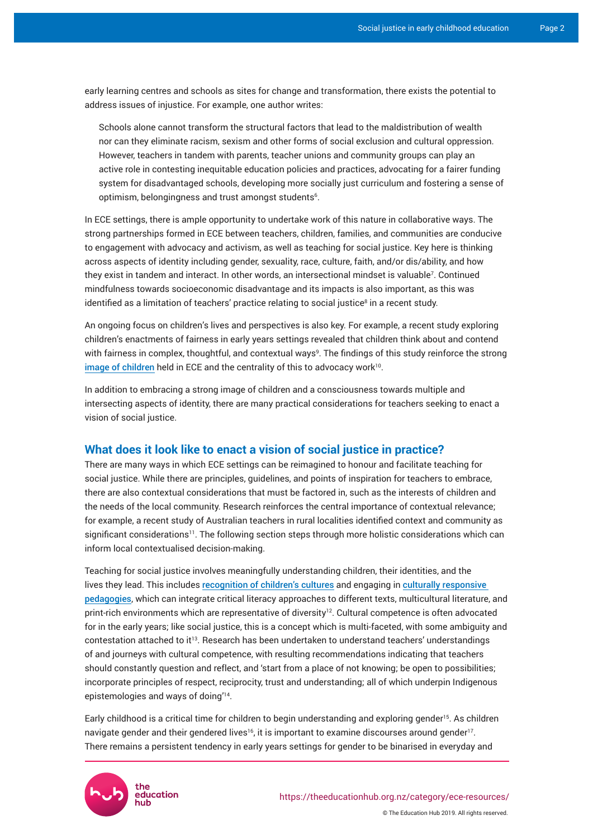early learning centres and schools as sites for change and transformation, there exists the potential to address issues of injustice. For example, one author writes:

Schools alone cannot transform the structural factors that lead to the maldistribution of wealth nor can they eliminate racism, sexism and other forms of social exclusion and cultural oppression. However, teachers in tandem with parents, teacher unions and community groups can play an active role in contesting inequitable education policies and practices, advocating for a fairer funding system for disadvantaged schools, developing more socially just curriculum and fostering a sense of optimism, belongingness and trust amongst students $6$ .

In ECE settings, there is ample opportunity to undertake work of this nature in collaborative ways. The strong partnerships formed in ECE between teachers, children, families, and communities are conducive to engagement with advocacy and activism, as well as teaching for social justice. Key here is thinking across aspects of identity including gender, sexuality, race, culture, faith, and/or dis/ability, and how they exist in tandem and interact. In other words, an intersectional mindset is valuable<sup>7</sup> . Continued mindfulness towards socioeconomic disadvantage and its impacts is also important, as this was identified as a limitation of teachers' practice relating to social justice $^{\rm 8}$  in a recent study.

An ongoing focus on children's lives and perspectives is also key. For example, a recent study exploring children's enactments of fairness in early years settings revealed that children think about and contend with fairness in complex, thoughtful, and contextual ways<sup>9</sup>. The findings of this study reinforce the strong [image of children](https://theeducationhub.org.nz/the-image-of-the-child/) held in ECE and the centrality of this to advocacy work $^{10}$ .

In addition to embracing a strong image of children and a consciousness towards multiple and intersecting aspects of identity, there are many practical considerations for teachers seeking to enact a vision of social justice.

## **What does it look like to enact a vision of social justice in practice?**

There are many ways in which ECE settings can be reimagined to honour and facilitate teaching for social justice. While there are principles, guidelines, and points of inspiration for teachers to embrace, there are also contextual considerations that must be factored in, such as the interests of children and the needs of the local community. Research reinforces the central importance of contextual relevance; for example, a recent study of Australian teachers in rural localities identified context and community as significant considerations<sup>11</sup>. The following section steps through more holistic considerations which can inform local contextualised decision-making.

Teaching for social justice involves meaningfully understanding children, their identities, and the lives they lead. This includes [recognition of children's cultures](https://theeducationhub.org.nz/maori-and-pasifika-cultural-perspectives-on-infant-toddler-care-2/) and engaging in [culturally responsive](https://theeducationhub.org.nz/culturally-responsive-pedagogy-in-ece/)  [pedagogies](https://theeducationhub.org.nz/culturally-responsive-pedagogy-in-ece/), which can integrate critical literacy approaches to different texts, multicultural literature, and print-rich environments which are representative of diversity<sup>12</sup>. Cultural competence is often advocated for in the early years; like social justice, this is a concept which is multi-faceted, with some ambiguity and contestation attached to it<sup>13</sup>. Research has been undertaken to understand teachers' understandings of and journeys with cultural competence, with resulting recommendations indicating that teachers should constantly question and reflect, and 'start from a place of not knowing; be open to possibilities; incorporate principles of respect, reciprocity, trust and understanding; all of which underpin Indigenous epistemologies and ways of doing'<sup>14</sup> .

Early childhood is a critical time for children to begin understanding and exploring gender<sup>15</sup>. As children navigate gender and their gendered lives $^{16}$ , it is important to examine discourses around gender $^{17}$ . There remains a persistent tendency in early years settings for gender to be binarised in everyday and

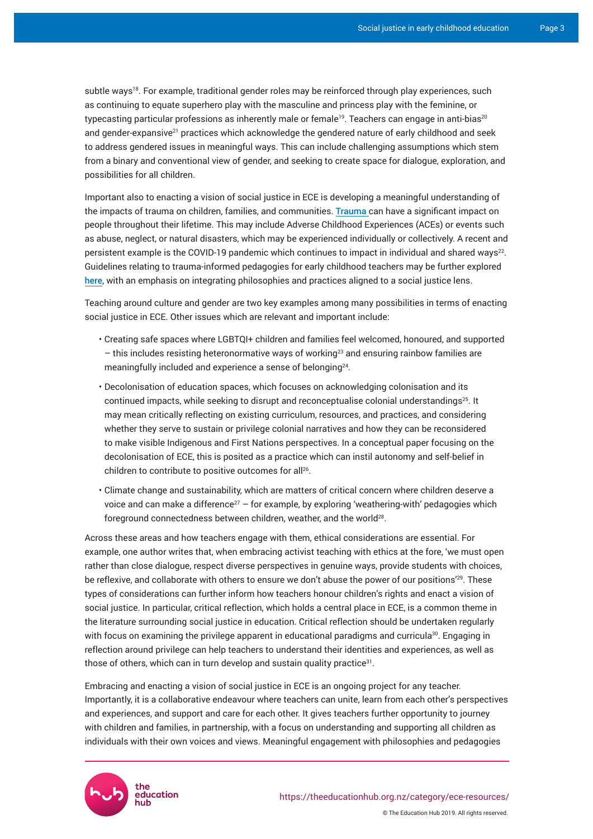subtle ways<sup>18</sup>. For example, traditional gender roles may be reinforced through play experiences, such as continuing to equate superhero play with the masculine and princess play with the feminine, or typecasting particular professions as inherently male or female<sup>19</sup>. Teachers can engage in anti-bias<sup>20</sup> and gender-expansive<sup>21</sup> practices which acknowledge the gendered nature of early childhood and seek to address gendered issues in meaningful ways. This can include challenging assumptions which stem from a binary and conventional view of gender, and seeking to create space for dialogue, exploration, and possibilities for all children.

Important also to enacting a vision of social justice in ECE is developing a meaningful understanding of the impacts of trauma on children, families, and communities. [Trauma](https://theeducationhub.org.nz/childhood-trauma-and-its-impact-2) can have a significant impact on people throughout their lifetime. This may include Adverse Childhood Experiences (ACEs) or events such as abuse, neglect, or natural disasters, which may be experienced individually or collectively. A recent and persistent example is the COVID-19 pandemic which continues to impact in individual and shared ways $^{22}$ . Guidelines relating to trauma-informed pedagogies for early childhood teachers may be further explored [here](https://theeducationhub.org.nz/trauma-informed-practice-in-early-childhood-education/), with an emphasis on integrating philosophies and practices aligned to a social justice lens.

Teaching around culture and gender are two key examples among many possibilities in terms of enacting social justice in ECE. Other issues which are relevant and important include:

- Creating safe spaces where LGBTQI+ children and families feel welcomed, honoured, and supported – this includes resisting heteronormative ways of working<sup>23</sup> and ensuring rainbow families are meaningfully included and experience a sense of belonging $^{\scriptscriptstyle 24}$ .
- Decolonisation of education spaces, which focuses on acknowledging colonisation and its continued impacts, while seeking to disrupt and reconceptualise colonial understandings<sup>25</sup>. It may mean critically reflecting on existing curriculum, resources, and practices, and considering whether they serve to sustain or privilege colonial narratives and how they can be reconsidered to make visible Indigenous and First Nations perspectives. In a conceptual paper focusing on the decolonisation of ECE, this is posited as a practice which can instil autonomy and self-belief in children to contribute to positive outcomes for all<sup>26</sup> .
- Climate change and sustainability, which are matters of critical concern where children deserve a voice and can make a difference<sup>27</sup> – for example, by exploring 'weathering-with' pedagogies which foreground connectedness between children, weather, and the world $^{\rm 28}.$

Across these areas and how teachers engage with them, ethical considerations are essential. For example, one author writes that, when embracing activist teaching with ethics at the fore, 'we must open rather than close dialogue, respect diverse perspectives in genuine ways, provide students with choices, be reflexive, and collaborate with others to ensure we don't abuse the power of our positions'<sup>29</sup>. These types of considerations can further inform how teachers honour children's rights and enact a vision of social justice. In particular, critical reflection, which holds a central place in ECE, is a common theme in the literature surrounding social justice in education. Critical reflection should be undertaken regularly with focus on examining the privilege apparent in educational paradigms and curricula<sup>30</sup>. Engaging in reflection around privilege can help teachers to understand their identities and experiences, as well as those of others, which can in turn develop and sustain quality practice $31$ .

Embracing and enacting a vision of social justice in ECE is an ongoing project for any teacher. Importantly, it is a collaborative endeavour where teachers can unite, learn from each other's perspectives and experiences, and support and care for each other. It gives teachers further opportunity to journey with children and families, in partnership, with a focus on understanding and supporting all children as individuals with their own voices and views. Meaningful engagement with philosophies and pedagogies

> the education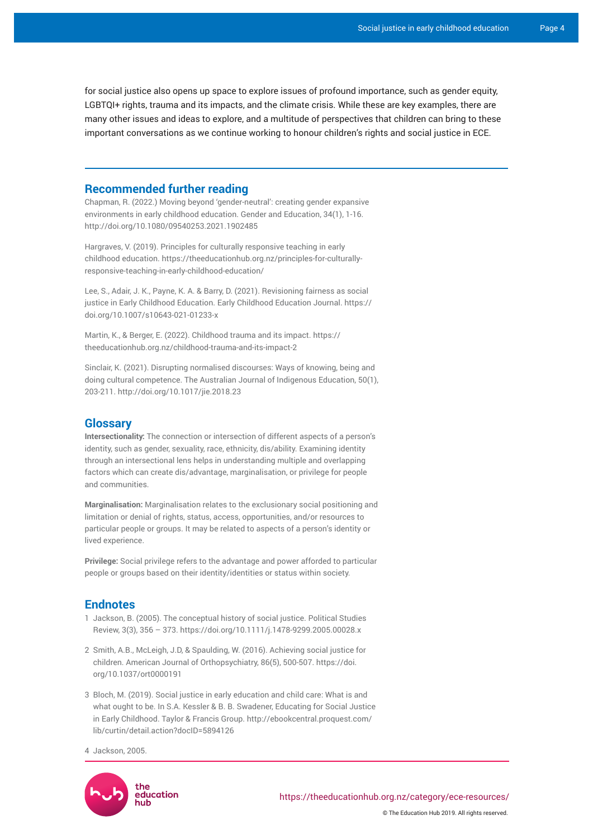for social justice also opens up space to explore issues of profound importance, such as gender equity, LGBTQI+ rights, trauma and its impacts, and the climate crisis. While these are key examples, there are many other issues and ideas to explore, and a multitude of perspectives that children can bring to these important conversations as we continue working to honour children's rights and social justice in ECE.

#### **Recommended further reading**

Chapman, R. (2022.) Moving beyond 'gender-neutral': creating gender expansive environments in early childhood education. Gender and Education, 34(1), 1-16. <http://doi.org/>[10.1080/09540253.2021.1902485](https://doi.org/10.1080/09540253.2021.1902485)

Hargraves, V. (2019). Principles for culturally responsive teaching in early childhood education. [https://theeducationhub.org.nz/principles-for-culturally](https://theeducationhub.org.nz/principles-for-culturally-responsive-teaching-in-early-childhood-education/)[responsive-teaching-in-early-childhood-education/](https://theeducationhub.org.nz/principles-for-culturally-responsive-teaching-in-early-childhood-education/)

Lee, S., Adair, J. K., Payne, K. A. & Barry, D. (2021). Revisioning fairness as social justice in Early Childhood Education. Early Childhood Education Journal. [https://](https://doi.org/10.1007/s10643-021-01233-x) [doi.org/10.1007/s10643-021-01233-x](https://doi.org/10.1007/s10643-021-01233-x)

Martin, K., & Berger, E. (2022). Childhood trauma and its impact. [https://](https://theeducationhub.org.nz/childhood-trauma-and-its-impact-2) [theeducationhub.org.nz/childhood-trauma-and-its-impact-2](https://theeducationhub.org.nz/childhood-trauma-and-its-impact-2)

Sinclair, K. (2021). Disrupting normalised discourses: Ways of knowing, being and doing cultural competence. The Australian Journal of Indigenous Education, 50(1), 203-211.<http://doi.org/10.1017/jie.2018.23>

### **Glossary**

**Intersectionality:** The connection or intersection of different aspects of a person's identity, such as gender, sexuality, race, ethnicity, dis/ability. Examining identity through an intersectional lens helps in understanding multiple and overlapping factors which can create dis/advantage, marginalisation, or privilege for people and communities.

**Marginalisation:** Marginalisation relates to the exclusionary social positioning and limitation or denial of rights, status, access, opportunities, and/or resources to particular people or groups. It may be related to aspects of a person's identity or lived experience.

**Privilege:** Social privilege refers to the advantage and power afforded to particular people or groups based on their identity/identities or status within society.

## **Endnotes**

- 1 Jackson, B. (2005). The conceptual history of social justice. Political Studies Review, 3(3), 356 – 373. <https://doi.org/10.1111/j.1478-9299.2005.00028.x>
- 2 Smith, A.B., McLeigh, J.D, & Spaulding, W. (2016). Achieving social justice for children. American Journal of Orthopsychiatry, 86(5), 500-507. [https://doi.](https://doi.apa.org/doi/10.1037/ort0000191) [org/10.1037/ort0000191](https://doi.apa.org/doi/10.1037/ort0000191)
- 3 Bloch, M. (2019). Social justice in early education and child care: What is and what ought to be. In S.A. Kessler & B. B. Swadener, Educating for Social Justice in Early Childhood. Taylor & Francis Group. [http://ebookcentral.proquest.com/](http://ebookcentral.proquest.com/lib/curtin/detail.action?docID=5894126) [lib/curtin/detail.action?docID=5894126](http://ebookcentral.proquest.com/lib/curtin/detail.action?docID=5894126)
- 4 Jackson, 2005.



© The Education Hub 2019. All rights reserved.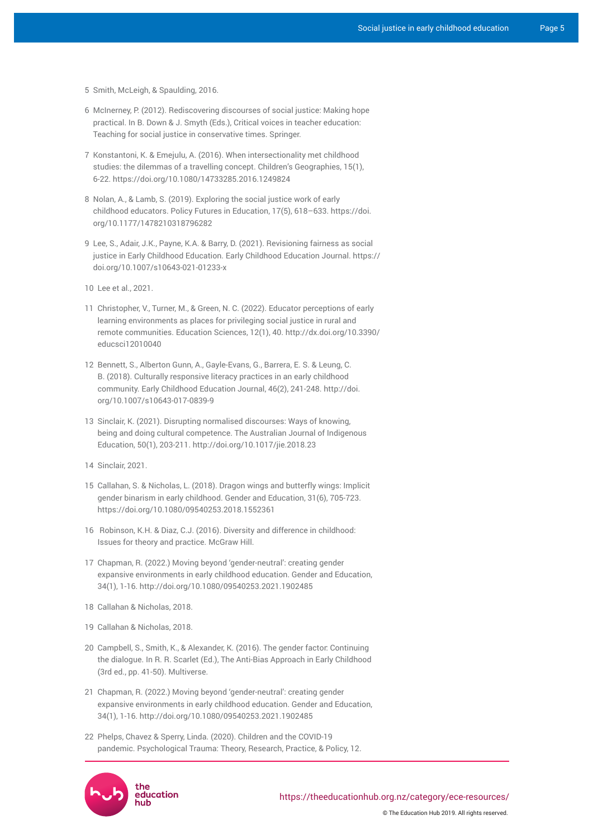- 5 Smith, McLeigh, & Spaulding, 2016.
- 6 McInerney, P. (2012). Rediscovering discourses of social justice: Making hope practical. In B. Down & J. Smyth (Eds.), Critical voices in teacher education: Teaching for social justice in conservative times. Springer.
- 7 Konstantoni, K. & Emejulu, A. (2016). When intersectionality met childhood studies: the dilemmas of a travelling concept. Children's Geographies, 15(1), 6-22.<https://doi.org/10.1080/14733285.2016.1249824>
- 8 Nolan, A., & Lamb, S. (2019). Exploring the social justice work of early childhood educators. Policy Futures in Education, 17(5), 618–633. [https://doi.](https://doi.org/10.1177/1478210318796282) [org/10.1177/1478210318796282](https://doi.org/10.1177/1478210318796282)
- 9 Lee, S., Adair, J.K., Payne, K.A. & Barry, D. (2021). Revisioning fairness as social justice in Early Childhood Education. Early Childhood Education Journal. [https://](https://doi.org/10.1007/s10643-021-01233-x) [doi.org/10.1007/s10643-021-01233-x](https://doi.org/10.1007/s10643-021-01233-x)
- 10 Lee et al., 2021.
- 11 Christopher, V., Turner, M., & Green, N. C. (2022). Educator perceptions of early learning environments as places for privileging social justice in rural and remote communities. Education Sciences, 12(1), 40. [http://dx.doi.org/10.3390/](http://dx.doi.org/10.3390/educsci12010040) [educsci12010040](http://dx.doi.org/10.3390/educsci12010040)
- 12 Bennett, S., Alberton Gunn, A., Gayle-Evans, G., Barrera, E. S. & Leung, C. B. (2018). Culturally responsive literacy practices in an early childhood community. Early Childhood Education Journal, 46(2), 241-248. [http://doi.](http://doi.org/10.1007/s10643-017-0839-9) [org/10.1007/s10643-017-0839-9](http://doi.org/10.1007/s10643-017-0839-9)
- 13 Sinclair, K. (2021). Disrupting normalised discourses: Ways of knowing, being and doing cultural competence. The Australian Journal of Indigenous Education, 50(1), 203-211. <http://doi.org/10.1017/jie.2018.23>
- 14 Sinclair, 2021.
- 15 Callahan, S. & Nicholas, L. (2018). Dragon wings and butterfly wings: Implicit gender binarism in early childhood. Gender and Education, 31(6), 705-723. <https://doi.org/10.1080/09540253.2018.1552361>
- 16 Robinson, K.H. & Diaz, C.J. (2016). Diversity and difference in childhood: Issues for theory and practice. McGraw Hill.
- 17 Chapman, R. (2022.) Moving beyond 'gender-neutral': creating gender expansive environments in early childhood education. Gender and Education, 34(1), 1-16.<http://doi.org/>[10.1080/09540253.2021.1902485](https://doi.org/10.1080/09540253.2021.1902485)
- 18 Callahan & Nicholas, 2018.
- 19 Callahan & Nicholas, 2018.
- 20 Campbell, S., Smith, K., & Alexander, K. (2016). The gender factor: Continuing the dialogue. In R. R. Scarlet (Ed.), The Anti-Bias Approach in Early Childhood (3rd ed., pp. 41-50). Multiverse.
- 21 Chapman, R. (2022.) Moving beyond 'gender-neutral': creating gender expansive environments in early childhood education. Gender and Education, 34(1), 1-16.<http://doi.org/>[10.1080/09540253.2021.1902485](https://doi.org/10.1080/09540253.2021.1902485)
- 22 Phelps, Chavez & Sperry, Linda. (2020). Children and the COVID-19 pandemic. Psychological Trauma: Theory, Research, Practice, & Policy, 12.